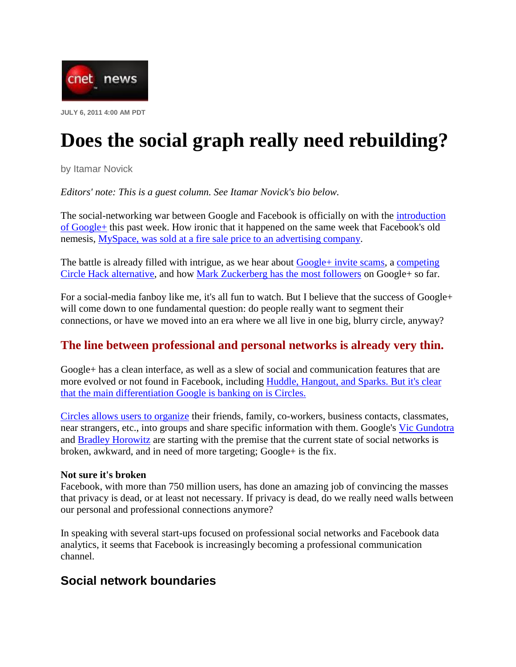

# **Does the social graph really need rebuilding?**

by Itamar Novick

*Editors' note: This is a guest column. See Itamar Novick's bio below.*

The social-networking war between Google and Facebook is officially on with the introduction of Google+ this past week. How ironic that it happened on the same week that Facebook's old nemesis, MySpace, was sold at a fire sale price to an advertising company.

The battle is already filled with intrigue, as we hear about Google+ invite scams, a competing Circle Hack alternative, and how Mark Zuckerberg has the most followers on Google+ so far.

For a social-media fanboy like me, it's all fun to watch. But I believe that the success of Google+ will come down to one fundamental question: do people really want to segment their connections, or have we moved into an era where we all live in one big, blurry circle, anyway?

### **The line between professional and personal networks is already very thin.**

Google+ has a clean interface, as well as a slew of social and communication features that are more evolved or not found in Facebook, including Huddle, Hangout, and Sparks. But it's clear that the main differentiation Google is banking on is Circles.

Circles allows users to organize their friends, family, co-workers, business contacts, classmates, near strangers, etc., into groups and share specific information with them. Google's Vic Gundotra and Bradley Horowitz are starting with the premise that the current state of social networks is broken, awkward, and in need of more targeting; Google+ is the fix.

### **Not sure it's broken**

Facebook, with more than 750 million users, has done an amazing job of convincing the masses that privacy is dead, or at least not necessary. If privacy is dead, do we really need walls between our personal and professional connections anymore?

In speaking with several start-ups focused on professional social networks and Facebook data analytics, it seems that Facebook is increasingly becoming a professional communication channel.

## **Social network boundaries**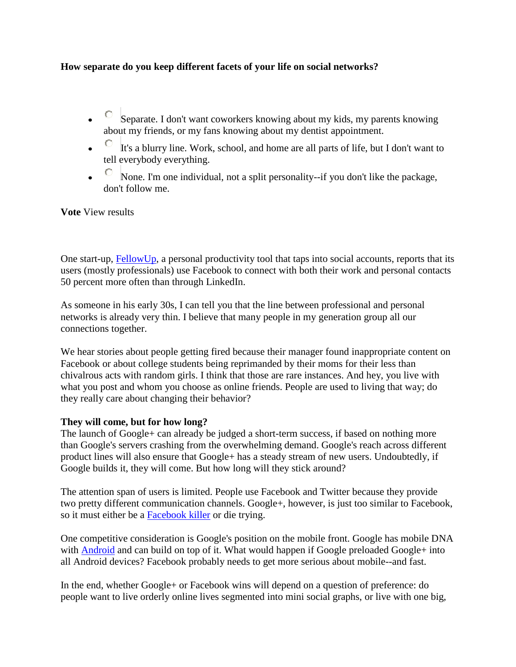### **How separate do you keep different facets of your life on social networks?**

- C Separate. I don't want coworkers knowing about my kids, my parents knowing about my friends, or my fans knowing about my dentist appointment.
- $\overline{C}$  It's a blurry line. Work, school, and home are all parts of life, but I don't want to tell everybody everything.
- None. I'm one individual, not a split personality--if you don't like the package, don't follow me.

**Vote** View results

One start-up, **FellowUp**, a personal productivity tool that taps into social accounts, reports that its users (mostly professionals) use Facebook to connect with both their work and personal contacts 50 percent more often than through LinkedIn.

As someone in his early 30s, I can tell you that the line between professional and personal networks is already very thin. I believe that many people in my generation group all our connections together.

We hear stories about people getting fired because their manager found inappropriate content on Facebook or about college students being reprimanded by their moms for their less than chivalrous acts with random girls. I think that those are rare instances. And hey, you live with what you post and whom you choose as online friends. People are used to living that way; do they really care about changing their behavior?

#### **They will come, but for how long?**

The launch of Google+ can already be judged a short-term success, if based on nothing more than Google's servers crashing from the overwhelming demand. Google's reach across different product lines will also ensure that Google+ has a steady stream of new users. Undoubtedly, if Google builds it, they will come. But how long will they stick around?

The attention span of users is limited. People use Facebook and Twitter because they provide two pretty different communication channels. Google+, however, is just too similar to Facebook, so it must either be a Facebook killer or die trying.

One competitive consideration is Google's position on the mobile front. Google has mobile DNA with Android and can build on top of it. What would happen if Google preloaded Google+ into all Android devices? Facebook probably needs to get more serious about mobile--and fast.

In the end, whether Google+ or Facebook wins will depend on a question of preference: do people want to live orderly online lives segmented into mini social graphs, or live with one big,